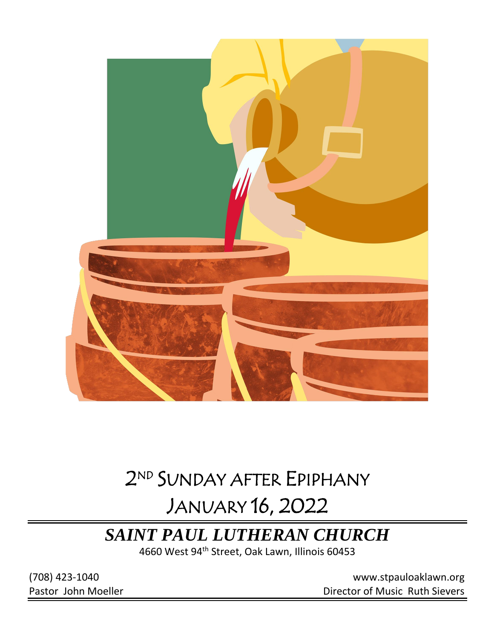

# 2 ND SUNDAY AFTER EPIPHANY

# JANUARY 16, 2022

## *SAINT PAUL LUTHERAN CHURCH*

4660 West 94<sup>th</sup> Street, Oak Lawn, Illinois 60453

(708) 423-1040 [www.stpauloaklawn.org](about:blank) Pastor John Moeller **Director of Music Ruth Sievers**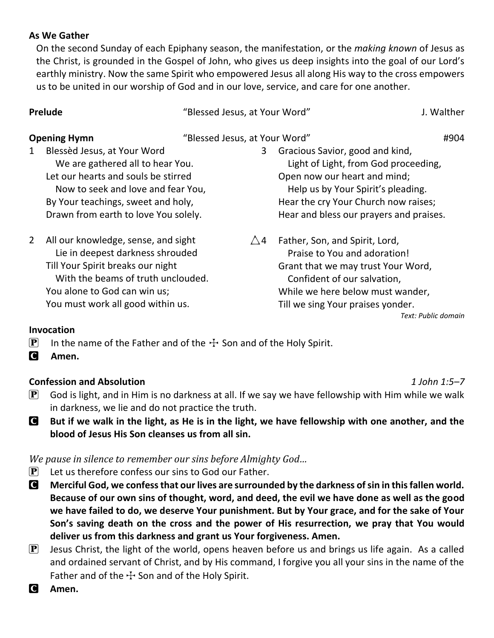#### **As We Gather**

On the second Sunday of each Epiphany season, the manifestation, or the *making known* of Jesus as the Christ, is grounded in the Gospel of John, who gives us deep insights into the goal of our Lord's earthly ministry. Now the same Spirit who empowered Jesus all along His way to the cross empowers us to be united in our worship of God and in our love, service, and care for one another.

| <b>Prelude</b><br><b>Opening Hymn</b> |                                                                                                        | "Blessed Jesus, at Your Word" |                                                                                                              | J. Walther |
|---------------------------------------|--------------------------------------------------------------------------------------------------------|-------------------------------|--------------------------------------------------------------------------------------------------------------|------------|
|                                       |                                                                                                        |                               | "Blessed Jesus, at Your Word"                                                                                |            |
| $\mathbf{1}$                          | Blessèd Jesus, at Your Word<br>We are gathered all to hear You.<br>Let our hearts and souls be stirred |                               | Gracious Savior, good and kind,<br>3<br>Light of Light, from God proceeding,<br>Open now our heart and mind; |            |

 Now to seek and love and fear You, By Your teachings, sweet and holy, Drawn from earth to love You solely.

2 All our knowledge, sense, and sight Lie in deepest darkness shrouded Till Your Spirit breaks our night With the beams of truth unclouded. You alone to God can win us; You must work all good within us.

 Help us by Your Spirit's pleading. Hear the cry Your Church now raises; Hear and bless our prayers and praises.

 $\triangle$ 4 Father, Son, and Spirit, Lord, Praise to You and adoration! Grant that we may trust Your Word, Confident of our salvation, While we here below must wander, Till we sing Your praises yonder. *Text: Public domain*

#### **Invocation**

**P** In the name of the Father and of the  $\div$  Son and of the Holy Spirit.

C **Amen.**

#### **Confession and Absolution** *1 John 1:5–7*

- $\mathbf{P}$  God is light, and in Him is no darkness at all. If we say we have fellowship with Him while we walk in darkness, we lie and do not practice the truth.
- C **But if we walk in the light, as He is in the light, we have fellowship with one another, and the blood of Jesus His Son cleanses us from all sin.**

*We pause in silence to remember our sins before Almighty God…*

- $\mathbf{P}$  Let us therefore confess our sins to God our Father.
- C **Merciful God, we confess that our lives are surrounded by the darkness of sin in this fallen world. Because of our own sins of thought, word, and deed, the evil we have done as well as the good we have failed to do, we deserve Your punishment. But by Your grace, and for the sake of Your Son's saving death on the cross and the power of His resurrection, we pray that You would deliver us from this darkness and grant us Your forgiveness. Amen.**
- $\left| \mathbf{P} \right|$  Jesus Christ, the light of the world, opens heaven before us and brings us life again. As a called and ordained servant of Christ, and by His command, I forgive you all your sins in the name of the Father and of the  $\pm$  Son and of the Holy Spirit.
- C **Amen.**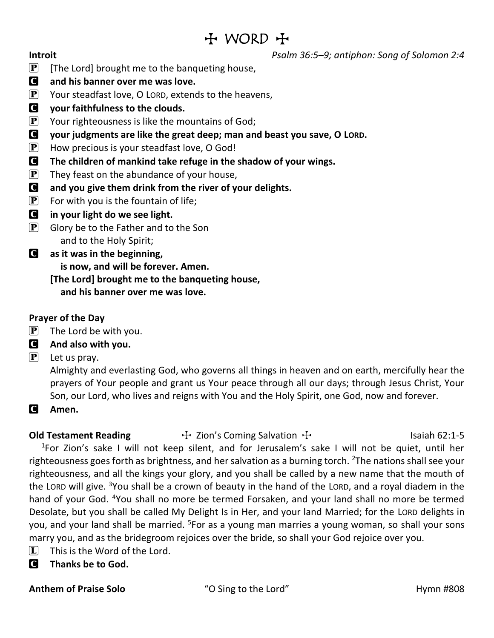## $H$  WORD  $H$

**Introit** *Psalm 36:5–9; antiphon: Song of Solomon 2:4*

- **P** [The Lord] brought me to the banqueting house,
- C **and his banner over me was love.**
- $\mathbf{P}$  Your steadfast love, O LORD, extends to the heavens,
- C **your faithfulness to the clouds.**
- **P** Your righteousness is like the mountains of God;
- C **your judgments are like the great deep; man and beast you save, O LORD.**
- $\mathbf{P}$  How precious is your steadfast love, O God!
- C **The children of mankind take refuge in the shadow of your wings.**
- $\left| \mathbf{P} \right|$  They feast on the abundance of your house,
- C **and you give them drink from the river of your delights.**
- $\mathbf{P}$  For with you is the fountain of life;
- C **in your light do we see light.**
- $\left| \mathbf{P} \right|$  Glory be to the Father and to the Son and to the Holy Spirit;
- C **as it was in the beginning, is now, and will be forever. Amen. [The Lord] brought me to the banqueting house, and his banner over me was love.**

### **Prayer of the Day**

 $\mathbf{P}$  The Lord be with you.

### C **And also with you.**

 $\left[ \mathbf{P} \right]$  Let us pray.

Almighty and everlasting God, who governs all things in heaven and on earth, mercifully hear the prayers of Your people and grant us Your peace through all our days; through Jesus Christ, Your Son, our Lord, who lives and reigns with You and the Holy Spirit, one God, now and forever.

C **Amen.**

**Old Testament Reading**  $\uparrow$  Zion's Coming Salvation  $\uparrow$  15 Isaiah 62:1-5 <sup>1</sup>For Zion's sake I will not keep silent, and for Jerusalem's sake I will not be quiet, until her righteousness goes forth as brightness, and her salvation as a burning torch. <sup>2</sup>The nations shall see your righteousness, and all the kings your glory, and you shall be called by a new name that the mouth of the LORD will give. <sup>3</sup>You shall be a crown of beauty in the hand of the LORD, and a royal diadem in the hand of your God. <sup>4</sup>You shall no more be termed Forsaken, and your land shall no more be termed Desolate, but you shall be called My Delight Is in Her, and your land Married; for the LORD delights in you, and your land shall be married. <sup>5</sup>For as a young man marries a young woman, so shall your sons marry you, and as the bridegroom rejoices over the bride, so shall your God rejoice over you.

- $\Box$  This is the Word of the Lord.
- C **Thanks be to God.**

**Anthem of Praise Solo** "O Sing to the Lord" Hymn #808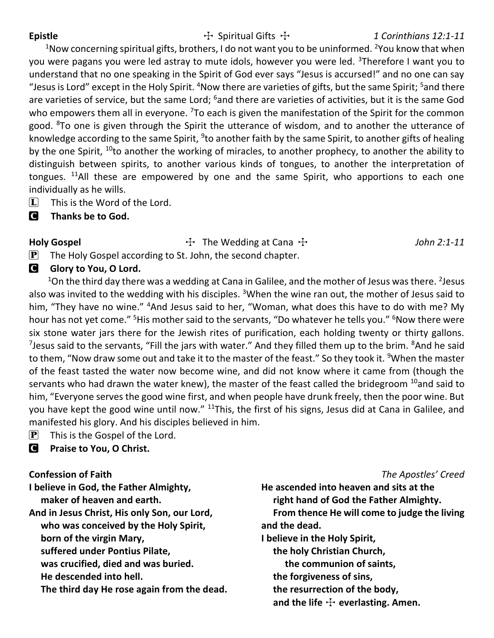#### Epistle The Spiritual Gifts  $\ddot{\mathrm{F}}$  1 Corinthians 12:1-11

<sup>1</sup>Now concerning spiritual gifts, brothers, I do not want you to be uninformed. <sup>2</sup>You know that when you were pagans you were led astray to mute idols, however you were led. <sup>3</sup>Therefore I want you to understand that no one speaking in the Spirit of God ever says "Jesus is accursed!" and no one can say "Jesus is Lord" except in the Holy Spirit. <sup>4</sup>Now there are varieties of gifts, but the same Spirit; <sup>5</sup>and there are varieties of service, but the same Lord; <sup>6</sup>and there are varieties of activities, but it is the same God who empowers them all in everyone. <sup>7</sup>To each is given the manifestation of the Spirit for the common good. <sup>8</sup>To one is given through the Spirit the utterance of wisdom, and to another the utterance of knowledge according to the same Spirit, <sup>9</sup>to another faith by the same Spirit, to another gifts of healing by the one Spirit, <sup>10</sup>to another the working of miracles, to another prophecy, to another the ability to distinguish between spirits, to another various kinds of tongues, to another the interpretation of tongues.  $11$ All these are empowered by one and the same Spirit, who apportions to each one individually as he wills.

- $[L]$  This is the Word of the Lord.
- C **Thanks be to God.**

### **Holy Gospel** The Wedding at Cana  $\ddot{\tau}$  The Wedding at Cana  $\ddot{\tau}$  5 The Wedding at Cana  $\ddot{\tau}$  5 The Medding at Cana  $\ddot{\tau}$  5 The Medding at Cana  $\ddot{\tau}$  5 The Medding at Cana  $\ddot{\tau}$  5 The Medding at Cana  $\dd$

 $\mathbf{P}$  The Holy Gospel according to St. John, the second chapter.

### **C** Glory to You, O Lord.

 $^{1}$ On the third day there was a wedding at Cana in Galilee, and the mother of Jesus was there. <sup>2</sup>Jesus also was invited to the wedding with his disciples. <sup>3</sup>When the wine ran out, the mother of Jesus said to him, "They have no wine." <sup>4</sup>And Jesus said to her, "Woman, what does this have to do with me? My hour has not yet come." <sup>5</sup>His mother said to the servants, "Do whatever he tells you." <sup>6</sup>Now there were six stone water jars there for the Jewish rites of purification, each holding twenty or thirty gallons. <sup>7</sup>Jesus said to the servants, "Fill the jars with water." And they filled them up to the brim. <sup>8</sup>And he said to them, "Now draw some out and take it to the master of the feast." So they took it. <sup>9</sup>When the master of the feast tasted the water now become wine, and did not know where it came from (though the servants who had drawn the water knew), the master of the feast called the bridegroom  $^{10}$ and said to him, "Everyone serves the good wine first, and when people have drunk freely, then the poor wine. But you have kept the good wine until now." <sup>11</sup>This, the first of his signs, Jesus did at Cana in Galilee, and manifested his glory. And his disciples believed in him.

 $\left| \mathbf{P} \right|$  This is the Gospel of the Lord.

C **Praise to You, O Christ.**

### **Confession of Faith** *The Apostles' Creed*

**I believe in God, the Father Almighty, maker of heaven and earth. And in Jesus Christ, His only Son, our Lord, who was conceived by the Holy Spirit, born of the virgin Mary, suffered under Pontius Pilate, was crucified, died and was buried. He descended into hell. The third day He rose again from the dead.** **He ascended into heaven and sits at the right hand of God the Father Almighty. From thence He will come to judge the living and the dead. I believe in the Holy Spirit, the holy Christian Church, the communion of saints, the forgiveness of sins, the resurrection of the body,** and the life  $\pm$  everlasting. Amen.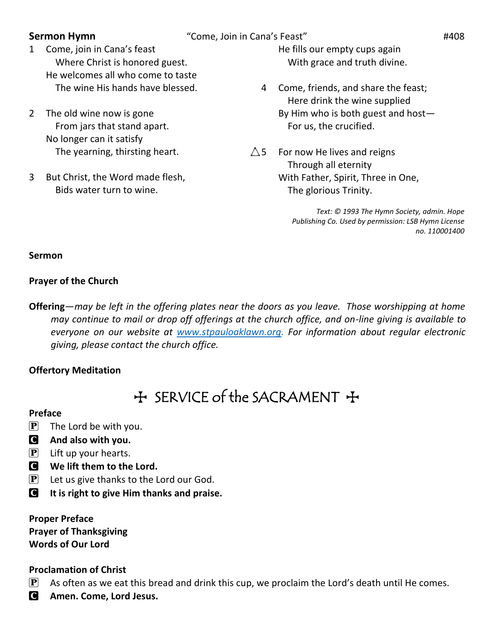- **Sermon Hymn** "Come, Join in Cana's Feast" **#408**
- 1 Come, join in Cana's feast Where Christ is honored guest. He welcomes all who come to taste The wine His hands have blessed.
- 2 The old wine now is gone From jars that stand apart. No longer can it satisfy The yearning, thirsting heart.
- 3 But Christ, the Word made flesh, Bids water turn to wine.

He fills our empty cups again With grace and truth divine.

- 4 Come, friends, and share the feast; Here drink the wine supplied By Him who is both guest and host— For us, the crucified.
- $\triangle$  5 For now He lives and reigns Through all eternity With Father, Spirit, Three in One, The glorious Trinity.

*Text: © 1993 The Hymn Society, admin. Hope Publishing Co. Used by permission: LSB Hymn License no. 110001400*

#### **Sermon**

#### **Prayer of the Church**

**Offering**—*may be left in the offering plates near the doors as you leave. Those worshipping at home may continue to mail or drop off offerings at the church office, and on-line giving is available to everyone on our website at [www.stpauloaklawn.org.](http://www.stpauloaklawn.org/) For information about regular electronic giving, please contact the church office.* 

#### **Offertory Meditation**

## + SERVICE of the SACRAMENT +

#### **Preface**

- $\left| \mathbf{P} \right|$  The Lord be with you.
- C **And also with you.**
- $\left| \mathbf{P} \right|$  Lift up your hearts.
- C **We lift them to the Lord.**
- $\mathbf{P}$  Let us give thanks to the Lord our God.
- C **It is right to give Him thanks and praise.**

**Proper Preface Prayer of Thanksgiving Words of Our Lord**

#### **Proclamation of Christ**

- $\mathbf{P}$  As often as we eat this bread and drink this cup, we proclaim the Lord's death until He comes.
- C **Amen. Come, Lord Jesus.**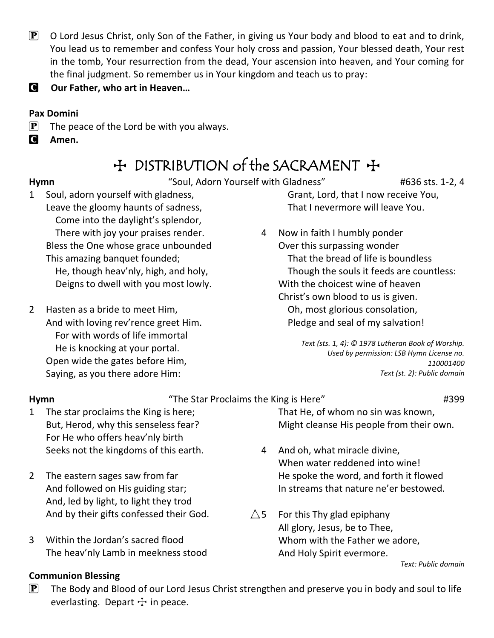- $\mathbf{P}$  O Lord Jesus Christ, only Son of the Father, in giving us Your body and blood to eat and to drink, You lead us to remember and confess Your holy cross and passion, Your blessed death, Your rest in the tomb, Your resurrection from the dead, Your ascension into heaven, and Your coming for the final judgment. So remember us in Your kingdom and teach us to pray:
- C **Our Father, who art in Heaven…**

#### **Pax Domini**

- $\mathbf{P}$  The peace of the Lord be with you always.
- C **Amen.**

## + DISTRIBUTION of the SACRAMENT +

Hymn **Hymn** "Soul, Adorn Yourself with Gladness" #636 sts. 1-2, 4

- 1 Soul, adorn yourself with gladness, Leave the gloomy haunts of sadness, Come into the daylight's splendor, There with joy your praises render. Bless the One whose grace unbounded This amazing banquet founded; He, though heav'nly, high, and holy, Deigns to dwell with you most lowly.
- 2 Hasten as a bride to meet Him, And with loving rev'rence greet Him. For with words of life immortal He is knocking at your portal. Open wide the gates before Him, Saying, as you there adore Him:

 Grant, Lord, that I now receive You, That I nevermore will leave You.

4 Now in faith I humbly ponder Over this surpassing wonder That the bread of life is boundless Though the souls it feeds are countless: With the choicest wine of heaven Christ's own blood to us is given. Oh, most glorious consolation, Pledge and seal of my salvation!

> *Text (sts. 1, 4): © 1978 Lutheran Book of Worship. Used by permission: LSB Hymn License no. 110001400 Text (st. 2): Public domain*

#### **Hymn**  $\blacksquare$   $\blacksquare$   $\blacksquare$   $\blacksquare$   $\blacksquare$   $\blacksquare$   $\blacksquare$   $\blacksquare$   $\blacksquare$   $\blacksquare$   $\blacksquare$   $\blacksquare$   $\blacksquare$   $\blacksquare$   $\blacksquare$   $\blacksquare$   $\blacksquare$   $\blacksquare$   $\blacksquare$   $\blacksquare$   $\blacksquare$   $\blacksquare$   $\blacksquare$   $\blacksquare$   $\blacksquare$   $\blacksquare$   $\blacksquare$   $\blacksquare$   $\blacksquare$   $\blacksquare$   $\blacksquare$

- 1 The star proclaims the King is here; But, Herod, why this senseless fear? For He who offers heav'nly birth Seeks not the kingdoms of this earth.
- 2 The eastern sages saw from far And followed on His guiding star; And, led by light, to light they trod And by their gifts confessed their God.
- 3 Within the Jordan's sacred flood The heav'nly Lamb in meekness stood

That He, of whom no sin was known, Might cleanse His people from their own.

- 4 And oh, what miracle divine, When water reddened into wine! He spoke the word, and forth it flowed In streams that nature ne'er bestowed.
- $\triangle$ 5 For this Thy glad epiphany All glory, Jesus, be to Thee, Whom with the Father we adore, And Holy Spirit evermore.

*Text: Public domain*

- **Communion Blessing**
- $\mathbf{P}$  The Body and Blood of our Lord Jesus Christ strengthen and preserve you in body and soul to life everlasting. Depart  $+$  in peace.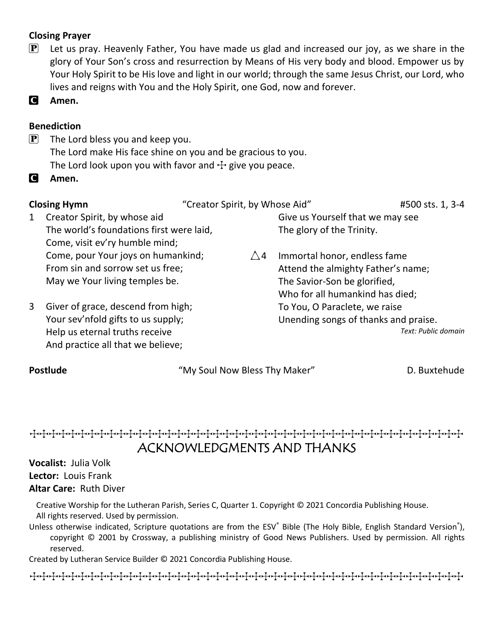#### **Closing Prayer**

 $\mathbf{P}$  Let us pray. Heavenly Father, You have made us glad and increased our joy, as we share in the glory of Your Son's cross and resurrection by Means of His very body and blood. Empower us by Your Holy Spirit to be His love and light in our world; through the same Jesus Christ, our Lord, who lives and reigns with You and the Holy Spirit, one God, now and forever.

C **Amen.**

#### **Benediction**

- $\left[ P \right]$  The Lord bless you and keep you. The Lord make His face shine on you and be gracious to you. The Lord look upon you with favor and  $\pm$  give you peace.
- C **Amen.**

| <b>Closing Hymn</b> |                                                                      | "Creator Spirit, by Whose Aid" |                                      | #500 sts. 1, 3-4    |
|---------------------|----------------------------------------------------------------------|--------------------------------|--------------------------------------|---------------------|
| $\mathbf{1}$        | Creator Spirit, by whose aid                                         |                                | Give us Yourself that we may see     |                     |
|                     | The world's foundations first were laid,                             |                                | The glory of the Trinity.            |                     |
|                     | Come, visit ev'ry humble mind;                                       |                                |                                      |                     |
|                     | Come, pour Your joys on humankind;                                   | $\bigwedge$ 4                  | Immortal honor, endless fame         |                     |
|                     | From sin and sorrow set us free;                                     |                                | Attend the almighty Father's name;   |                     |
|                     | May we Your living temples be.                                       |                                | The Savior-Son be glorified,         |                     |
|                     |                                                                      |                                | Who for all humankind has died;      |                     |
| 3                   | Giver of grace, descend from high;                                   |                                | To You, O Paraclete, we raise        |                     |
|                     | Your sev'nfold gifts to us supply;<br>Help us eternal truths receive |                                | Unending songs of thanks and praise. |                     |
|                     |                                                                      |                                |                                      | Text: Public domain |
|                     | And practice all that we believe;                                    |                                |                                      |                     |
| <b>Postlude</b>     |                                                                      | "My Soul Now Bless Thy Maker"  |                                      | D. Buxtehude        |

### TTTTTTTTTTTTTTTTTTTTTTTTTTTTTTTTTTTTTTTTTTTTT ACKNOWLEDGMENTS AND THANKS

### **Vocalist:** Julia Volk **Lector:** Louis Frank **Altar Care:** Ruth Diver

Creative Worship for the Lutheran Parish, Series C, Quarter 1. Copyright © 2021 Concordia Publishing House. All rights reserved. Used by permission.

Unless otherwise indicated, Scripture quotations are from the ESV® Bible (The Holy Bible, English Standard Version®), copyright © 2001 by Crossway, a publishing ministry of Good News Publishers. Used by permission. All rights reserved.

Created by Lutheran Service Builder © 2021 Concordia Publishing House.

TTTTTTTTTTTTTTTTTTTTTTTTTTTTTTTTTTTTTTTTTTTTT